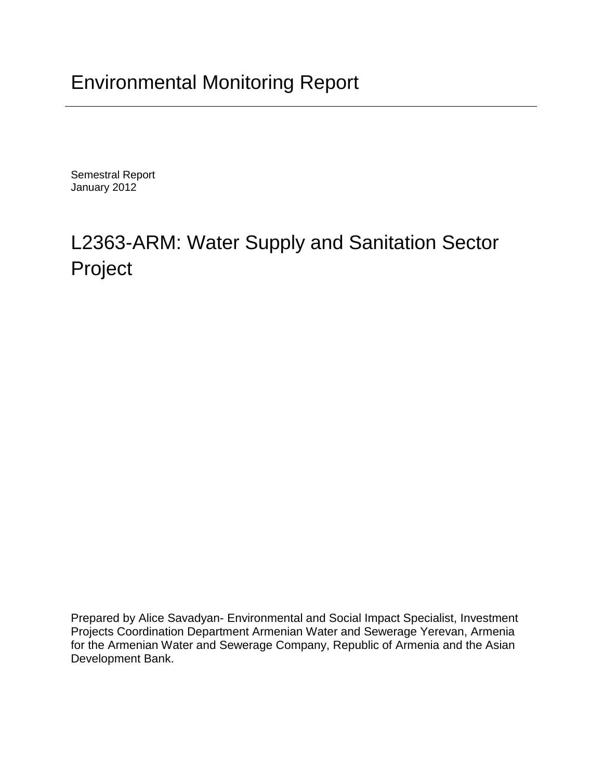## Environmental Monitoring Report

Semestral Report January 2012

# L2363-ARM: Water Supply and Sanitation Sector Project

Prepared by Alice Savadyan- Environmental and Social Impact Specialist, Investment Projects Coordination Department Armenian Water and Sewerage Yerevan, Armenia for the Armenian Water and Sewerage Company, Republic of Armenia and the Asian Development Bank.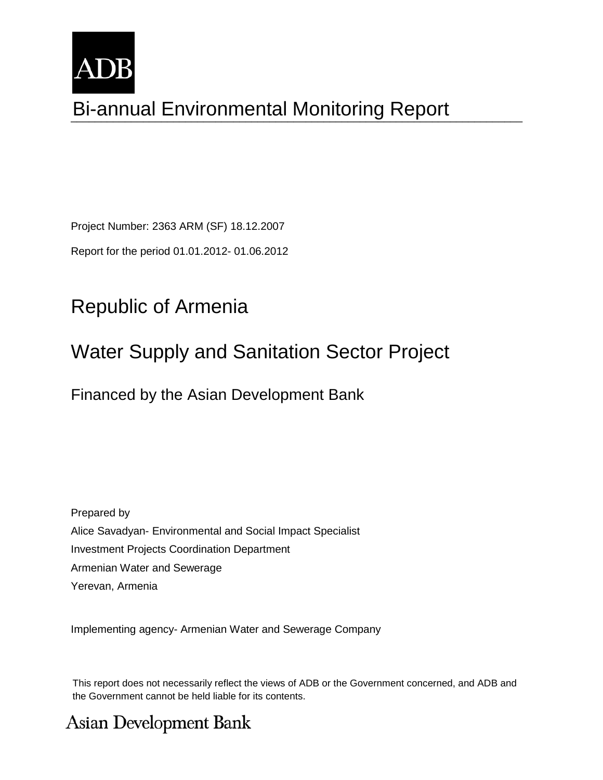

# Bi-annual Environmental Monitoring Report

Project Number: 2363 ARM (SF) 18.12.2007

Report for the period 01.01.2012- 01.06.2012

## Republic of Armenia

### Water Supply and Sanitation Sector Project

### Financed by the Asian Development Bank

Prepared by Alice Savadyan- Environmental and Social Impact Specialist Investment Projects Coordination Department Armenian Water and Sewerage Yerevan, Armenia

Implementing agency- Armenian Water and Sewerage Company

This report does not necessarily reflect the views of ADB or the Government concerned, and ADB and the Government cannot be held liable for its contents.

### **Asian Development Bank**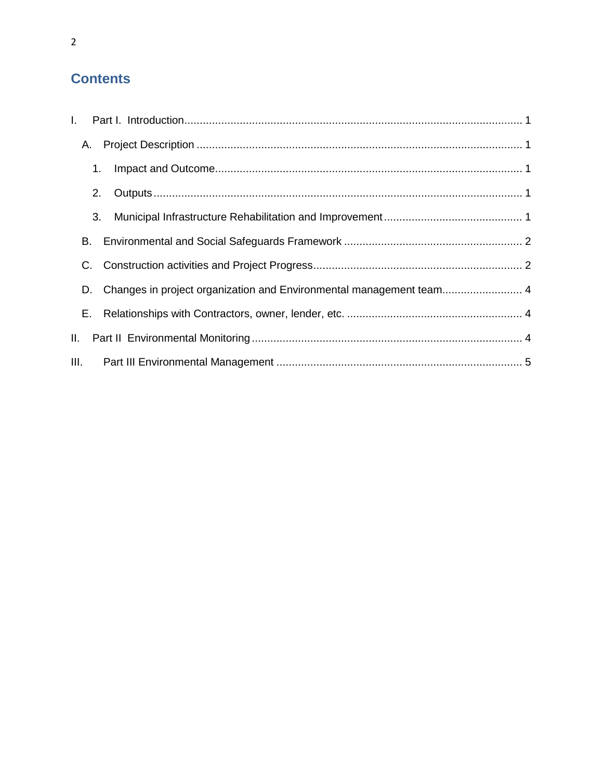### **Contents**

| A.  |                                                                     |  |
|-----|---------------------------------------------------------------------|--|
|     | 1.                                                                  |  |
|     | 2.                                                                  |  |
|     | 3.                                                                  |  |
| В.  |                                                                     |  |
|     |                                                                     |  |
| D.  | Changes in project organization and Environmental management team 4 |  |
| E., |                                                                     |  |
|     |                                                                     |  |
|     |                                                                     |  |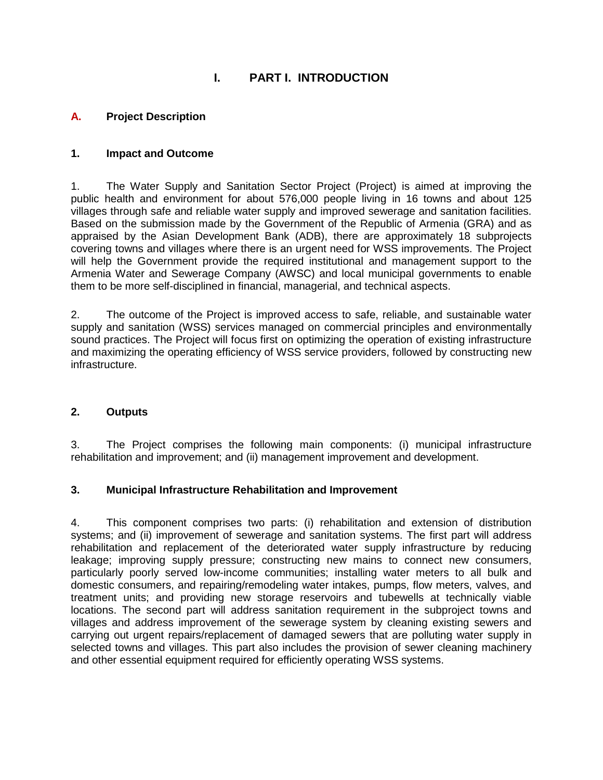#### **I. PART I. INTRODUCTION**

#### <span id="page-3-1"></span><span id="page-3-0"></span>**A. Project Description**

#### <span id="page-3-2"></span>**1. Impact and Outcome**

1. The Water Supply and Sanitation Sector Project (Project) is aimed at improving the public health and environment for about 576,000 people living in 16 towns and about 125 villages through safe and reliable water supply and improved sewerage and sanitation facilities. Based on the submission made by the Government of the Republic of Armenia (GRA) and as appraised by the Asian Development Bank (ADB), there are approximately 18 subprojects covering towns and villages where there is an urgent need for WSS improvements. The Project will help the Government provide the required institutional and management support to the Armenia Water and Sewerage Company (AWSC) and local municipal governments to enable them to be more self-disciplined in financial, managerial, and technical aspects.

2. The outcome of the Project is improved access to safe, reliable, and sustainable water supply and sanitation (WSS) services managed on commercial principles and environmentally sound practices. The Project will focus first on optimizing the operation of existing infrastructure and maximizing the operating efficiency of WSS service providers, followed by constructing new infrastructure.

#### <span id="page-3-3"></span>**2. Outputs**

3. The Project comprises the following main components: (i) municipal infrastructure rehabilitation and improvement; and (ii) management improvement and development.

#### <span id="page-3-4"></span>**3. Municipal Infrastructure Rehabilitation and Improvement**

4. This component comprises two parts: (i) rehabilitation and extension of distribution systems; and (ii) improvement of sewerage and sanitation systems. The first part will address rehabilitation and replacement of the deteriorated water supply infrastructure by reducing leakage; improving supply pressure; constructing new mains to connect new consumers, particularly poorly served low-income communities; installing water meters to all bulk and domestic consumers, and repairing/remodeling water intakes, pumps, flow meters, valves, and treatment units; and providing new storage reservoirs and tubewells at technically viable locations. The second part will address sanitation requirement in the subproject towns and villages and address improvement of the sewerage system by cleaning existing sewers and carrying out urgent repairs/replacement of damaged sewers that are polluting water supply in selected towns and villages. This part also includes the provision of sewer cleaning machinery and other essential equipment required for efficiently operating WSS systems.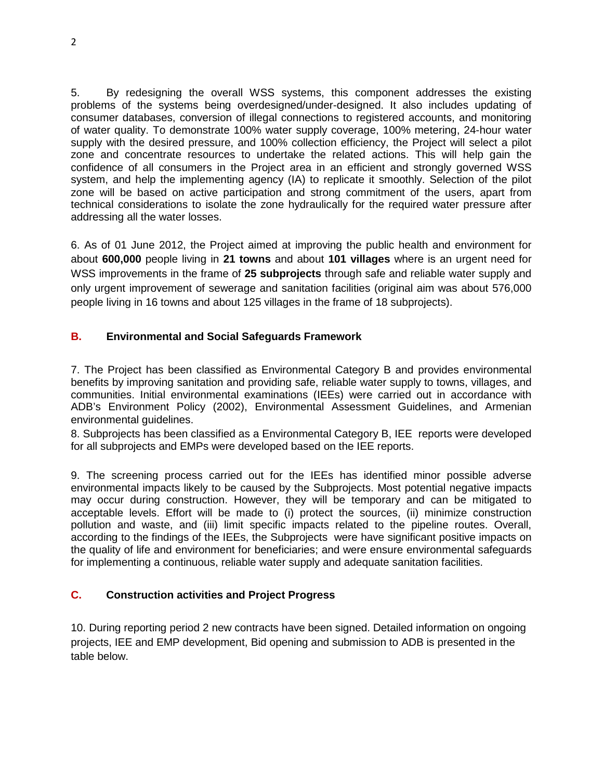5. By redesigning the overall WSS systems, this component addresses the existing problems of the systems being overdesigned/under-designed. It also includes updating of consumer databases, conversion of illegal connections to registered accounts, and monitoring of water quality. To demonstrate 100% water supply coverage, 100% metering, 24-hour water supply with the desired pressure, and 100% collection efficiency, the Project will select a pilot zone and concentrate resources to undertake the related actions. This will help gain the confidence of all consumers in the Project area in an efficient and strongly governed WSS system, and help the implementing agency (IA) to replicate it smoothly. Selection of the pilot zone will be based on active participation and strong commitment of the users, apart from technical considerations to isolate the zone hydraulically for the required water pressure after addressing all the water losses.

6. As of 01 June 2012, the Project aimed at improving the public health and environment for about **600,000** people living in **21 towns** and about **101 villages** where is an urgent need for WSS improvements in the frame of **25 subprojects** through safe and reliable water supply and only urgent improvement of sewerage and sanitation facilities (original aim was about 576,000 people living in 16 towns and about 125 villages in the frame of 18 subprojects).

#### <span id="page-4-0"></span>**B. Environmental and Social Safeguards Framework**

7. The Project has been classified as Environmental Category B and provides environmental benefits by improving sanitation and providing safe, reliable water supply to towns, villages, and communities. Initial environmental examinations (IEEs) were carried out in accordance with ADB's Environment Policy (2002), Environmental Assessment Guidelines, and Armenian environmental guidelines.

8. Subprojects has been classified as a Environmental Category B, IEE reports were developed for all subprojects and EMPs were developed based on the IEE reports.

9. The screening process carried out for the IEEs has identified minor possible adverse environmental impacts likely to be caused by the Subprojects. Most potential negative impacts may occur during construction. However, they will be temporary and can be mitigated to acceptable levels. Effort will be made to (i) protect the sources, (ii) minimize construction pollution and waste, and (iii) limit specific impacts related to the pipeline routes. Overall, according to the findings of the IEEs, the Subprojects were have significant positive impacts on the quality of life and environment for beneficiaries; and were ensure environmental safeguards for implementing a continuous, reliable water supply and adequate sanitation facilities.

#### <span id="page-4-1"></span>**C. Construction activities and Project Progress**

10. During reporting period 2 new contracts have been signed. Detailed information on ongoing projects, IEE and EMP development, Bid opening and submission to ADB is presented in the table below.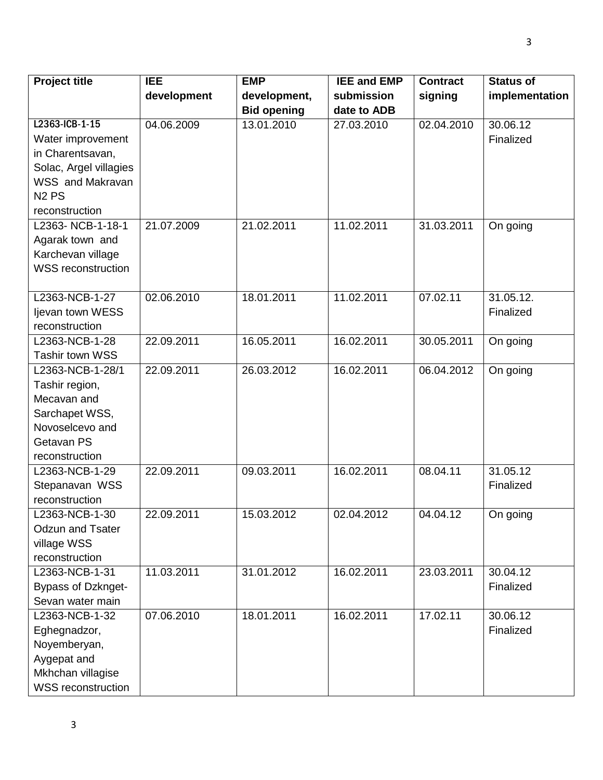| <b>Project title</b>              | <b>IEE</b>  | <b>EMP</b>         | <b>IEE and EMP</b> | <b>Contract</b> | <b>Status of</b> |
|-----------------------------------|-------------|--------------------|--------------------|-----------------|------------------|
|                                   | development | development,       | submission         | signing         | implementation   |
|                                   |             | <b>Bid opening</b> | date to ADB        |                 |                  |
| L2363-ICB-1-15                    | 04.06.2009  | 13.01.2010         | 27.03.2010         | 02.04.2010      | 30.06.12         |
| Water improvement                 |             |                    |                    |                 | Finalized        |
| in Charentsavan,                  |             |                    |                    |                 |                  |
| Solac, Argel villagies            |             |                    |                    |                 |                  |
| WSS and Makravan                  |             |                    |                    |                 |                  |
| N <sub>2</sub> P <sub>S</sub>     |             |                    |                    |                 |                  |
| reconstruction                    |             |                    |                    |                 |                  |
| L2363-NCB-1-18-1                  | 21.07.2009  | 21.02.2011         | 11.02.2011         | 31.03.2011      | On going         |
| Agarak town and                   |             |                    |                    |                 |                  |
| Karchevan village                 |             |                    |                    |                 |                  |
| <b>WSS reconstruction</b>         |             |                    |                    |                 |                  |
|                                   |             |                    |                    |                 |                  |
| L2363-NCB-1-27                    | 02.06.2010  | 18.01.2011         | 11.02.2011         | 07.02.11        | 31.05.12.        |
| ljevan town WESS                  |             |                    |                    |                 | Finalized        |
| reconstruction                    |             |                    |                    |                 |                  |
| L2363-NCB-1-28                    | 22.09.2011  | 16.05.2011         | 16.02.2011         | 30.05.2011      | On going         |
| Tashir town WSS                   |             |                    |                    |                 |                  |
| L2363-NCB-1-28/1                  | 22.09.2011  | 26.03.2012         | 16.02.2011         | 06.04.2012      | On going         |
| Tashir region,<br>Mecavan and     |             |                    |                    |                 |                  |
|                                   |             |                    |                    |                 |                  |
| Sarchapet WSS,<br>Novoselcevo and |             |                    |                    |                 |                  |
| Getavan PS                        |             |                    |                    |                 |                  |
| reconstruction                    |             |                    |                    |                 |                  |
| L2363-NCB-1-29                    | 22.09.2011  | 09.03.2011         | 16.02.2011         | 08.04.11        | 31.05.12         |
| Stepanavan WSS                    |             |                    |                    |                 | Finalized        |
| reconstruction                    |             |                    |                    |                 |                  |
| L2363-NCB-1-30                    | 22.09.2011  | 15.03.2012         | 02.04.2012         | 04.04.12        | On going         |
| <b>Odzun and Tsater</b>           |             |                    |                    |                 |                  |
| village WSS                       |             |                    |                    |                 |                  |
| reconstruction                    |             |                    |                    |                 |                  |
| L2363-NCB-1-31                    | 11.03.2011  | 31.01.2012         | 16.02.2011         | 23.03.2011      | 30.04.12         |
| Bypass of Dzknget-                |             |                    |                    |                 | Finalized        |
| Sevan water main                  |             |                    |                    |                 |                  |
| L2363-NCB-1-32                    | 07.06.2010  | 18.01.2011         | 16.02.2011         | 17.02.11        | 30.06.12         |
| Eghegnadzor,                      |             |                    |                    |                 | Finalized        |
| Noyemberyan,                      |             |                    |                    |                 |                  |
| Aygepat and                       |             |                    |                    |                 |                  |
| Mkhchan villagise                 |             |                    |                    |                 |                  |
| <b>WSS reconstruction</b>         |             |                    |                    |                 |                  |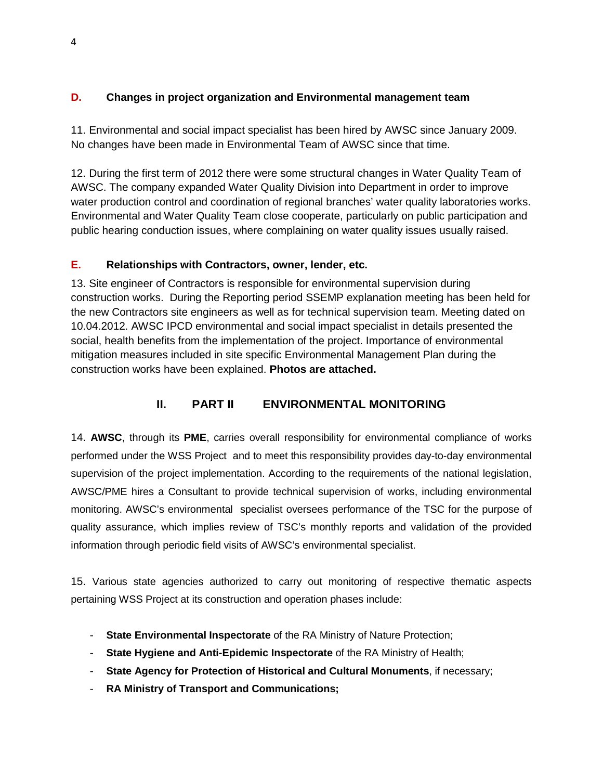#### <span id="page-6-0"></span>**D. Changes in project organization and Environmental management team**

11. Environmental and social impact specialist has been hired by AWSC since January 2009. No changes have been made in Environmental Team of AWSC since that time.

12. During the first term of 2012 there were some structural changes in Water Quality Team of AWSC. The company expanded Water Quality Division into Department in order to improve water production control and coordination of regional branches' water quality laboratories works. Environmental and Water Quality Team close cooperate, particularly on public participation and public hearing conduction issues, where complaining on water quality issues usually raised.

#### <span id="page-6-1"></span>**E. Relationships with Contractors, owner, lender, etc.**

13. Site engineer of Contractors is responsible for environmental supervision during construction works. During the Reporting period SSEMP explanation meeting has been held for the new Contractors site engineers as well as for technical supervision team. Meeting dated on 10.04.2012. AWSC IPCD environmental and social impact specialist in details presented the social, health benefits from the implementation of the project. Importance of environmental mitigation measures included in site specific Environmental Management Plan during the construction works have been explained. **Photos are attached.**

#### **II. PART II ENVIRONMENTAL MONITORING**

<span id="page-6-2"></span>14. **AWSC**, through its **PME**, carries overall responsibility for environmental compliance of works performed under the WSS Project and to meet this responsibility provides day-to-day environmental supervision of the project implementation. According to the requirements of the national legislation, AWSC/PME hires a Consultant to provide technical supervision of works, including environmental monitoring. AWSC's environmental specialist oversees performance of the TSC for the purpose of quality assurance, which implies review of TSC's monthly reports and validation of the provided information through periodic field visits of AWSC's environmental specialist.

15. Various state agencies authorized to carry out monitoring of respective thematic aspects pertaining WSS Project at its construction and operation phases include:

- **State Environmental Inspectorate** of the RA Ministry of Nature Protection;
- **State Hygiene and Anti-Epidemic Inspectorate** of the RA Ministry of Health;
- **State Agency for Protection of Historical and Cultural Monuments**, if necessary;
- **RA Ministry of Transport and Communications;**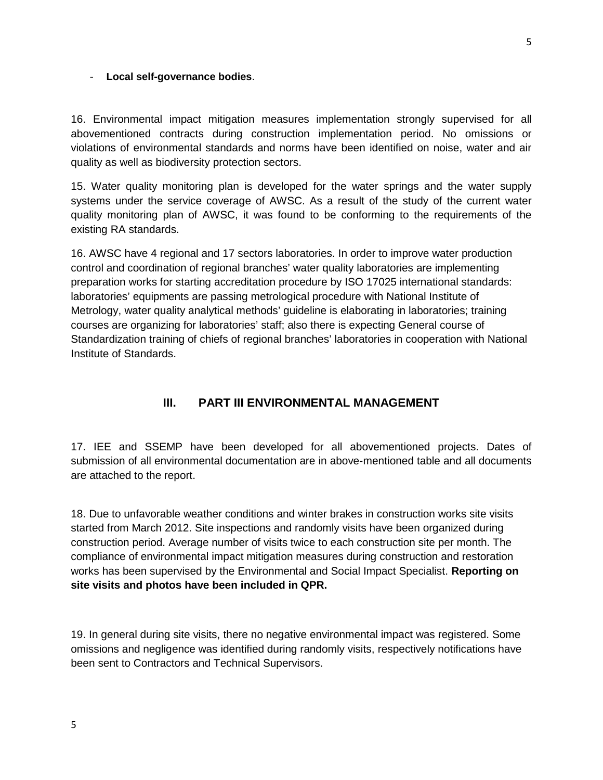#### - **Local self-governance bodies**.

16. Environmental impact mitigation measures implementation strongly supervised for all abovementioned contracts during construction implementation period. No omissions or violations of environmental standards and norms have been identified on noise, water and air quality as well as biodiversity protection sectors.

15. Water quality monitoring plan is developed for the water springs and the water supply systems under the service coverage of AWSC. As a result of the study of the current water quality monitoring plan of AWSC, it was found to be conforming to the requirements of the existing RA standards.

16. AWSC have 4 regional and 17 sectors laboratories. In order to improve water production control and coordination of regional branches' water quality laboratories are implementing preparation works for starting accreditation procedure by ISO 17025 international standards: laboratories' equipments are passing metrological procedure with National Institute of Metrology, water quality analytical methods' guideline is elaborating in laboratories; training courses are organizing for laboratories' staff; also there is expecting General course of Standardization training of chiefs of regional branches' laboratories in cooperation with National Institute of Standards.

#### **III. PART III ENVIRONMENTAL MANAGEMENT**

<span id="page-7-0"></span>17. IEE and SSEMP have been developed for all abovementioned projects. Dates of submission of all environmental documentation are in above-mentioned table and all documents are attached to the report.

18. Due to unfavorable weather conditions and winter brakes in construction works site visits started from March 2012. Site inspections and randomly visits have been organized during construction period. Average number of visits twice to each construction site per month. The compliance of environmental impact mitigation measures during construction and restoration works has been supervised by the Environmental and Social Impact Specialist. **Reporting on site visits and photos have been included in QPR.** 

19. In general during site visits, there no negative environmental impact was registered. Some omissions and negligence was identified during randomly visits, respectively notifications have been sent to Contractors and Technical Supervisors.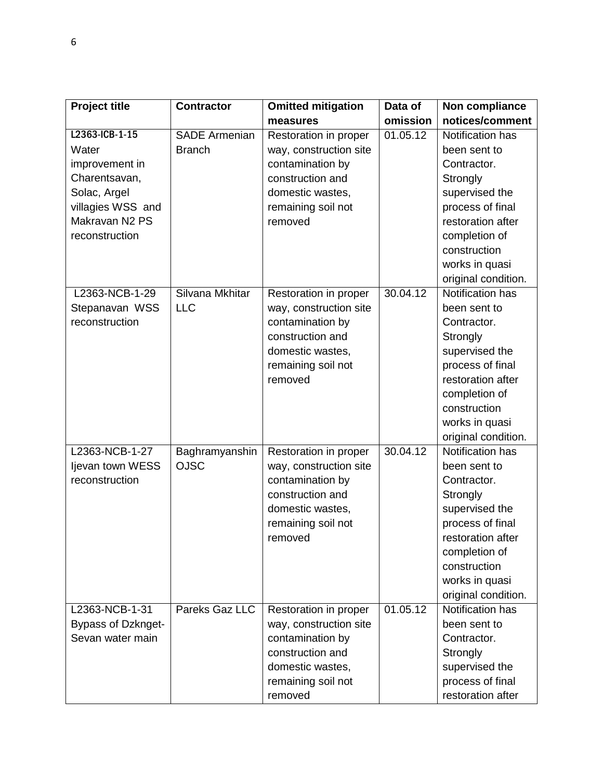| <b>Project title</b>      | <b>Contractor</b>    | <b>Omitted mitigation</b> | Data of  | Non compliance      |
|---------------------------|----------------------|---------------------------|----------|---------------------|
|                           |                      | measures                  | omission | notices/comment     |
| L2363-ICB-1-15            | <b>SADE Armenian</b> | Restoration in proper     | 01.05.12 | Notification has    |
| Water                     | <b>Branch</b>        | way, construction site    |          | been sent to        |
| improvement in            |                      | contamination by          |          | Contractor.         |
| Charentsavan,             |                      | construction and          |          | Strongly            |
| Solac, Argel              |                      | domestic wastes,          |          | supervised the      |
| villagies WSS and         |                      | remaining soil not        |          | process of final    |
| Makravan N2 PS            |                      | removed                   |          | restoration after   |
| reconstruction            |                      |                           |          | completion of       |
|                           |                      |                           |          | construction        |
|                           |                      |                           |          | works in quasi      |
|                           |                      |                           |          | original condition. |
| L2363-NCB-1-29            | Silvana Mkhitar      | Restoration in proper     | 30.04.12 | Notification has    |
| Stepanavan WSS            | <b>LLC</b>           | way, construction site    |          | been sent to        |
| reconstruction            |                      | contamination by          |          | Contractor.         |
|                           |                      | construction and          |          | Strongly            |
|                           |                      | domestic wastes,          |          | supervised the      |
|                           |                      | remaining soil not        |          | process of final    |
|                           |                      | removed                   |          | restoration after   |
|                           |                      |                           |          | completion of       |
|                           |                      |                           |          | construction        |
|                           |                      |                           |          | works in quasi      |
|                           |                      |                           |          | original condition. |
| L2363-NCB-1-27            | Baghramyanshin       | Restoration in proper     | 30.04.12 | Notification has    |
| Ijevan town WESS          | <b>OJSC</b>          | way, construction site    |          | been sent to        |
| reconstruction            |                      | contamination by          |          | Contractor.         |
|                           |                      | construction and          |          | Strongly            |
|                           |                      | domestic wastes,          |          | supervised the      |
|                           |                      | remaining soil not        |          | process of final    |
|                           |                      | removed                   |          | restoration after   |
|                           |                      |                           |          | completion of       |
|                           |                      |                           |          | construction        |
|                           |                      |                           |          | works in quasi      |
|                           |                      |                           |          | original condition. |
| L2363-NCB-1-31            | Pareks Gaz LLC       | Restoration in proper     | 01.05.12 | Notification has    |
| <b>Bypass of Dzknget-</b> |                      | way, construction site    |          | been sent to        |
| Sevan water main          |                      | contamination by          |          | Contractor.         |
|                           |                      | construction and          |          | Strongly            |
|                           |                      | domestic wastes,          |          | supervised the      |
|                           |                      | remaining soil not        |          | process of final    |
|                           |                      | removed                   |          | restoration after   |